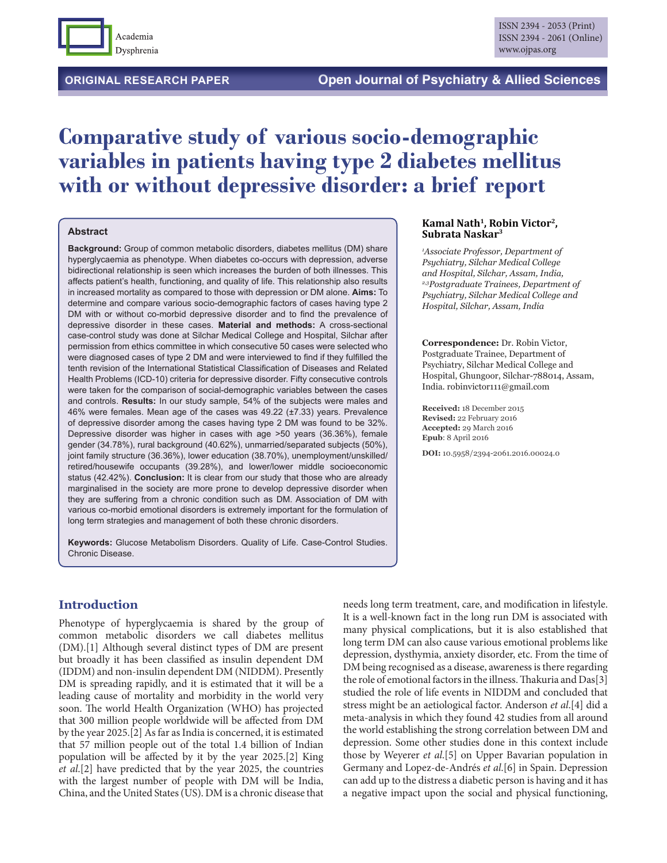

**ORIGINAL RESEARCH PAPER Open Journal of Psychiatry & Allied Sciences** 

# **Comparative study of various socio-demographic variables in patients having type 2 diabetes mellitus with or without depressive disorder: a brief report**

#### **Abstract**

**Background:** Group of common metabolic disorders, diabetes mellitus (DM) share hyperglycaemia as phenotype. When diabetes co-occurs with depression, adverse bidirectional relationship is seen which increases the burden of both illnesses. This affects patient's health, functioning, and quality of life. This relationship also results in increased mortality as compared to those with depression or DM alone. **Aims:** To determine and compare various socio-demographic factors of cases having type 2 DM with or without co-morbid depressive disorder and to find the prevalence of depressive disorder in these cases. **Material and methods:** A cross-sectional case-control study was done at Silchar Medical College and Hospital, Silchar after permission from ethics committee in which consecutive 50 cases were selected who were diagnosed cases of type 2 DM and were interviewed to find if they fulfilled the tenth revision of the International Statistical Classification of Diseases and Related Health Problems (ICD-10) criteria for depressive disorder. Fifty consecutive controls were taken for the comparison of social-demographic variables between the cases and controls. **Results:** In our study sample, 54% of the subjects were males and 46% were females. Mean age of the cases was 49.22 (±7.33) years. Prevalence of depressive disorder among the cases having type 2 DM was found to be 32%. Depressive disorder was higher in cases with age >50 years (36.36%), female gender (34.78%), rural background (40.62%), unmarried/separated subjects (50%), joint family structure (36.36%), lower education (38.70%), unemployment/unskilled/ retired/housewife occupants (39.28%), and lower/lower middle socioeconomic status (42.42%). **Conclusion:** It is clear from our study that those who are already marginalised in the society are more prone to develop depressive disorder when they are suffering from a chronic condition such as DM. Association of DM with various co-morbid emotional disorders is extremely important for the formulation of long term strategies and management of both these chronic disorders.

**Keywords:** Glucose Metabolism Disorders. Quality of Life. Case-Control Studies. Chronic Disease.

## **Introduction**

Phenotype of hyperglycaemia is shared by the group of common metabolic disorders we call diabetes mellitus (DM).[1] Although several distinct types of DM are present but broadly it has been classified as insulin dependent DM (IDDM) and non-insulin dependent DM (NIDDM). Presently DM is spreading rapidly, and it is estimated that it will be a leading cause of mortality and morbidity in the world very soon. The world Health Organization (WHO) has projected that 300 million people worldwide will be affected from DM by the year 2025.[2] As far as India is concerned, it is estimated that 57 million people out of the total 1.4 billion of Indian population will be affected by it by the year 2025.[2] King *et al*.[2] have predicted that by the year 2025, the countries with the largest number of people with DM will be India, China, and the United States (US). DM is a chronic disease that

#### **Kamal Nath1, Robin Victor2, Subrata Naskar3**

*1 Associate Professor, Department of Psychiatry, Silchar Medical College and Hospital, Silchar, Assam, India, 2,3Postgraduate Trainees, Department of Psychiatry, Silchar Medical College and Hospital, Silchar, Assam, India*

**Correspondence:** Dr. Robin Victor, Postgraduate Trainee, Department of Psychiatry, Silchar Medical College and Hospital, Ghungoor, Silchar-788014, Assam, India. robinvictor111@gmail.com

**Received:** 18 December 2015 **Revised:** 22 February 2016 **Accepted:** 29 March 2016 **Epub**: 8 April 2016

**DOI:** 10.5958/2394-2061.2016.00024.0

needs long term treatment, care, and modification in lifestyle. It is a well-known fact in the long run DM is associated with many physical complications, but it is also established that long term DM can also cause various emotional problems like depression, dysthymia, anxiety disorder, etc. From the time of DM being recognised as a disease, awareness is there regarding the role of emotional factors in the illness. Thakuria and Das[3] studied the role of life events in NIDDM and concluded that stress might be an aetiological factor. Anderson *et al*.[4] did a meta-analysis in which they found 42 studies from all around the world establishing the strong correlation between DM and depression. Some other studies done in this context include those by Weyerer *et al*.[5] on Upper Bavarian population in Germany and Lopez-de-Andrés *et al*.[6] in Spain. Depression can add up to the distress a diabetic person is having and it has a negative impact upon the social and physical functioning,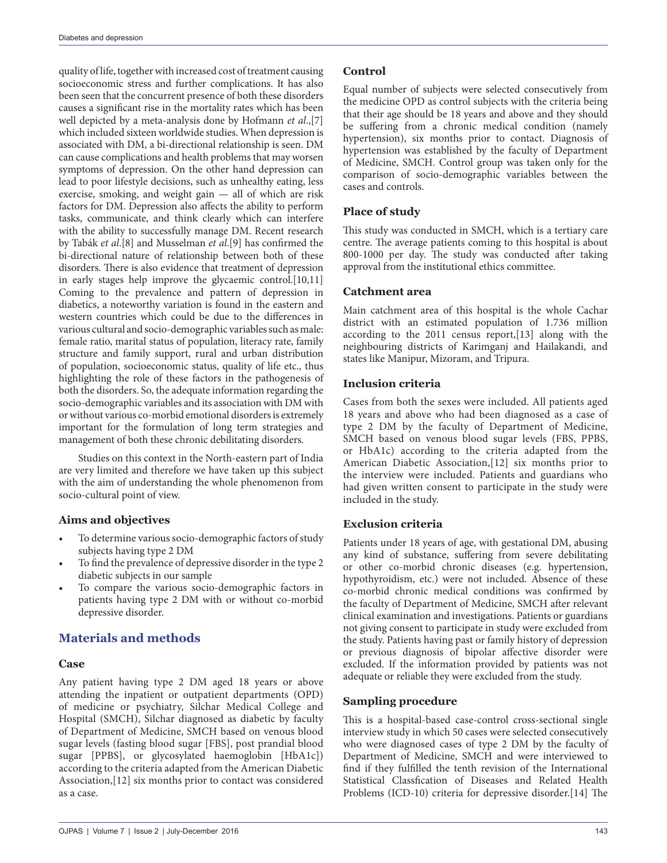quality of life, together with increased cost of treatment causing socioeconomic stress and further complications. It has also been seen that the concurrent presence of both these disorders causes a significant rise in the mortality rates which has been well depicted by a meta-analysis done by Hofmann *et al*.,[7] which included sixteen worldwide studies. When depression is associated with DM, a bi-directional relationship is seen. DM can cause complications and health problems that may worsen symptoms of depression. On the other hand depression can lead to poor lifestyle decisions, such as unhealthy eating, less exercise, smoking, and weight gain — all of which are risk factors for DM. Depression also affects the ability to perform tasks, communicate, and think clearly which can interfere with the ability to successfully manage DM. Recent research by Tabák *et al*.[8] and Musselman *et al*.[9] has confirmed the bi-directional nature of relationship between both of these disorders. There is also evidence that treatment of depression in early stages help improve the glycaemic control.[10,11] Coming to the prevalence and pattern of depression in diabetics, a noteworthy variation is found in the eastern and western countries which could be due to the differences in various cultural and socio-demographic variables such as male: female ratio, marital status of population, literacy rate, family structure and family support, rural and urban distribution of population, socioeconomic status, quality of life etc., thus highlighting the role of these factors in the pathogenesis of both the disorders. So, the adequate information regarding the socio-demographic variables and its association with DM with or without various co-morbid emotional disorders is extremely important for the formulation of long term strategies and management of both these chronic debilitating disorders.

Studies on this context in the North-eastern part of India are very limited and therefore we have taken up this subject with the aim of understanding the whole phenomenon from socio-cultural point of view.

#### **Aims and objectives**

- To determine various socio-demographic factors of study subjects having type 2 DM
- To find the prevalence of depressive disorder in the type 2 diabetic subjects in our sample
- To compare the various socio-demographic factors in patients having type 2 DM with or without co-morbid depressive disorder.

# **Materials and methods**

#### **Case**

Any patient having type 2 DM aged 18 years or above attending the inpatient or outpatient departments (OPD) of medicine or psychiatry, Silchar Medical College and Hospital (SMCH), Silchar diagnosed as diabetic by faculty of Department of Medicine, SMCH based on venous blood sugar levels (fasting blood sugar [FBS], post prandial blood sugar [PPBS], or glycosylated haemoglobin [HbA1c]) according to the criteria adapted from the American Diabetic Association,[12] six months prior to contact was considered as a case.

#### **Control**

Equal number of subjects were selected consecutively from the medicine OPD as control subjects with the criteria being that their age should be 18 years and above and they should be suffering from a chronic medical condition (namely hypertension), six months prior to contact. Diagnosis of hypertension was established by the faculty of Department of Medicine, SMCH. Control group was taken only for the comparison of socio-demographic variables between the cases and controls.

## **Place of study**

This study was conducted in SMCH, which is a tertiary care centre. The average patients coming to this hospital is about 800-1000 per day. The study was conducted after taking approval from the institutional ethics committee.

## **Catchment area**

Main catchment area of this hospital is the whole Cachar district with an estimated population of 1.736 million according to the 2011 census report,[13] along with the neighbouring districts of Karimganj and Hailakandi, and states like Manipur, Mizoram, and Tripura.

## **Inclusion criteria**

Cases from both the sexes were included. All patients aged 18 years and above who had been diagnosed as a case of type 2 DM by the faculty of Department of Medicine, SMCH based on venous blood sugar levels (FBS, PPBS, or HbA1c) according to the criteria adapted from the American Diabetic Association,[12] six months prior to the interview were included. Patients and guardians who had given written consent to participate in the study were included in the study.

## **Exclusion criteria**

Patients under 18 years of age, with gestational DM, abusing any kind of substance, suffering from severe debilitating or other co-morbid chronic diseases (e.g. hypertension, hypothyroidism, etc.) were not included. Absence of these co-morbid chronic medical conditions was confirmed by the faculty of Department of Medicine, SMCH after relevant clinical examination and investigations. Patients or guardians not giving consent to participate in study were excluded from the study. Patients having past or family history of depression or previous diagnosis of bipolar affective disorder were excluded. If the information provided by patients was not adequate or reliable they were excluded from the study.

## **Sampling procedure**

This is a hospital-based case-control cross-sectional single interview study in which 50 cases were selected consecutively who were diagnosed cases of type 2 DM by the faculty of Department of Medicine, SMCH and were interviewed to find if they fulfilled the tenth revision of the International Statistical Classfication of Diseases and Related Health Problems (ICD-10) criteria for depressive disorder.[14] The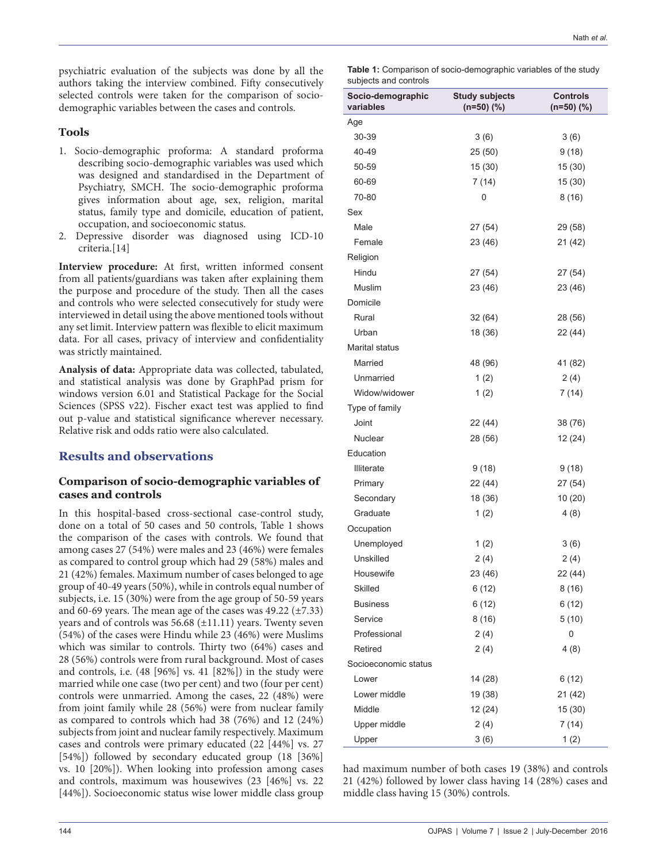psychiatric evaluation of the subjects was done by all the authors taking the interview combined. Fifty consecutively selected controls were taken for the comparison of sociodemographic variables between the cases and controls.

#### **Tools**

- 1. Socio-demographic proforma: A standard proforma describing socio-demographic variables was used which was designed and standardised in the Department of Psychiatry, SMCH. The socio-demographic proforma gives information about age, sex, religion, marital status, family type and domicile, education of patient, occupation, and socioeconomic status.
- 2. Depressive disorder was diagnosed using ICD-10 criteria.[14]

**Interview procedure:** At first, written informed consent from all patients/guardians was taken after explaining them the purpose and procedure of the study. Then all the cases and controls who were selected consecutively for study were interviewed in detail using the above mentioned tools without any set limit. Interview pattern was flexible to elicit maximum data. For all cases, privacy of interview and confidentiality was strictly maintained.

**Analysis of data:** Appropriate data was collected, tabulated, and statistical analysis was done by GraphPad prism for windows version 6.01 and Statistical Package for the Social Sciences (SPSS v22). Fischer exact test was applied to find out p-value and statistical significance wherever necessary. Relative risk and odds ratio were also calculated.

## **Results and observations**

#### **Comparison of socio-demographic variables of cases and controls**

In this hospital-based cross-sectional case-control study, done on a total of 50 cases and 50 controls, Table 1 shows the comparison of the cases with controls. We found that among cases 27 (54%) were males and 23 (46%) were females as compared to control group which had 29 (58%) males and 21 (42%) females. Maximum number of cases belonged to age group of 40-49 years (50%), while in controls equal number of subjects, i.e. 15 (30%) were from the age group of 50-59 years and 60-69 years. The mean age of the cases was  $49.22 \ (\pm 7.33)$ years and of controls was 56.68 (±11.11) years. Twenty seven (54%) of the cases were Hindu while 23 (46%) were Muslims which was similar to controls. Thirty two (64%) cases and 28 (56%) controls were from rural background. Most of cases and controls, i.e. (48 [96%] vs. 41 [82%]) in the study were married while one case (two per cent) and two (four per cent) controls were unmarried. Among the cases, 22 (48%) were from joint family while 28 (56%) were from nuclear family as compared to controls which had 38 (76%) and 12 (24%) subjects from joint and nuclear family respectively. Maximum cases and controls were primary educated (22 [44%] vs. 27 [54%]) followed by secondary educated group (18 [36%] vs. 10 [20%]). When looking into profession among cases and controls, maximum was housewives (23 [46%] vs. 22 [44%]). Socioeconomic status wise lower middle class group

| <b>Table 1:</b> Comparison of socio-demographic variables of the study |  |
|------------------------------------------------------------------------|--|
| subjects and controls                                                  |  |

| Socio-demographic<br>variables | <b>Study subjects</b><br>$(n=50)$ $(\%)$ | <b>Controls</b><br>$(n=50)$ (%) |  |  |
|--------------------------------|------------------------------------------|---------------------------------|--|--|
| Age                            |                                          |                                 |  |  |
| 30-39                          | 3(6)                                     | 3(6)                            |  |  |
| 40-49                          | 25 (50)                                  | 9(18)                           |  |  |
| 50-59                          | 15 (30)                                  | 15 (30)                         |  |  |
| 60-69                          | 7(14)                                    | 15 (30)                         |  |  |
| 70-80                          | 0                                        | 8(16)                           |  |  |
| Sex                            |                                          |                                 |  |  |
| Male                           | 27 (54)                                  | 29 (58)                         |  |  |
| Female                         | 23 (46)                                  | 21 (42)                         |  |  |
| Religion                       |                                          |                                 |  |  |
| Hindu                          | 27 (54)                                  | 27 (54)                         |  |  |
| Muslim                         | 23 (46)                                  | 23 (46)                         |  |  |
| Domicile                       |                                          |                                 |  |  |
| Rural                          | 32 (64)                                  | 28 (56)                         |  |  |
| Urban                          | 18 (36)                                  | 22 (44)                         |  |  |
| Marital status                 |                                          |                                 |  |  |
| Married                        | 48 (96)                                  | 41 (82)                         |  |  |
| Unmarried                      | 1(2)                                     | 2(4)                            |  |  |
| Widow/widower                  | 1(2)                                     | 7(14)                           |  |  |
| Type of family                 |                                          |                                 |  |  |
| Joint                          | 22 (44)                                  | 38 (76)                         |  |  |
| Nuclear                        | 28 (56)                                  | 12 (24)                         |  |  |
| Education                      |                                          |                                 |  |  |
| <b>Illiterate</b>              | 9(18)                                    | 9(18)                           |  |  |
| Primary                        | 22 (44)                                  | 27 (54)                         |  |  |
| Secondary                      | 18 (36)                                  | 10 (20)                         |  |  |
| Graduate                       | 1(2)                                     | 4(8)                            |  |  |
| Occupation                     |                                          |                                 |  |  |
| Unemployed                     | 1(2)                                     | 3(6)                            |  |  |
| Unskilled                      | 2(4)                                     | 2(4)                            |  |  |
| Housewife                      | 23 (46)                                  | 22 (44)                         |  |  |
| Skilled                        | 6 (12)                                   | 8(16)                           |  |  |
| <b>Business</b>                | 6(12)                                    | 6(12)                           |  |  |
| Service                        | 8(16)                                    | 5(10)                           |  |  |
| Professional                   | 2(4)                                     | 0                               |  |  |
| Retired                        | 2(4)                                     | 4(8)                            |  |  |
| Socioeconomic status           |                                          |                                 |  |  |
| Lower                          | 14 (28)                                  | 6(12)                           |  |  |
| Lower middle                   | 19 (38)                                  | 21 (42)                         |  |  |
| Middle                         | 12 (24)                                  | 15(30)                          |  |  |
| Upper middle                   | 2(4)                                     | 7(14)                           |  |  |
| Upper                          | 3(6)                                     | 1(2)                            |  |  |

had maximum number of both cases 19 (38%) and controls 21 (42%) followed by lower class having 14 (28%) cases and middle class having 15 (30%) controls.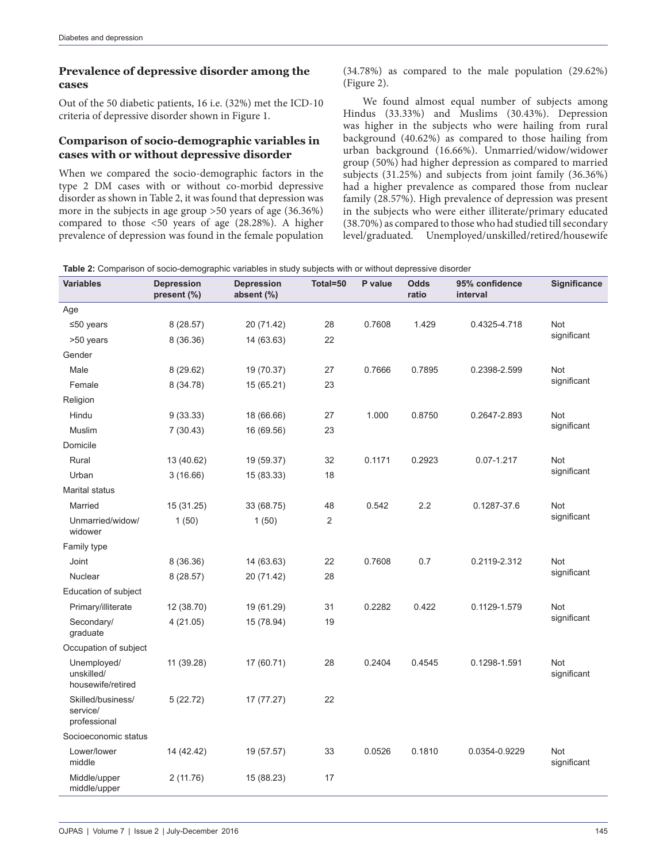#### **Prevalence of depressive disorder among the cases**

Out of the 50 diabetic patients, 16 i.e. (32%) met the ICD-10 criteria of depressive disorder shown in Figure 1.

#### **Comparison of socio-demographic variables in cases with or without depressive disorder**

When we compared the socio-demographic factors in the type 2 DM cases with or without co-morbid depressive disorder as shown in Table 2, it was found that depression was more in the subjects in age group >50 years of age (36.36%) compared to those <50 years of age (28.28%). A higher prevalence of depression was found in the female population (34.78%) as compared to the male population (29.62%) (Figure 2).

We found almost equal number of subjects among Hindus (33.33%) and Muslims (30.43%). Depression was higher in the subjects who were hailing from rural background (40.62%) as compared to those hailing from urban background (16.66%). Unmarried/widow/widower group (50%) had higher depression as compared to married subjects (31.25%) and subjects from joint family (36.36%) had a higher prevalence as compared those from nuclear family (28.57%). High prevalence of depression was present in the subjects who were either illiterate/primary educated (38.70%) as compared to those who had studied till secondary level/graduated. Unemployed/unskilled/retired/housewife

**Table 2:** Comparison of socio-demographic variables in study subjects with or without depressive disorder

| <b>Variables</b>                               | <b>Depression</b><br>present (%) | <b>Depression</b><br>absent (%) | Total=50       | P value | <b>Odds</b><br>ratio | 95% confidence<br>interval | Significance       |
|------------------------------------------------|----------------------------------|---------------------------------|----------------|---------|----------------------|----------------------------|--------------------|
| Age                                            |                                  |                                 |                |         |                      |                            |                    |
| $≤50$ years                                    | 8(28.57)                         | 20 (71.42)                      | 28             | 0.7608  | 1.429                | 0.4325-4.718               | Not                |
| >50 years                                      | 8 (36.36)                        | 14 (63.63)                      | 22             |         |                      |                            | significant        |
| Gender                                         |                                  |                                 |                |         |                      |                            |                    |
| Male                                           | 8(29.62)                         | 19 (70.37)                      | 27             | 0.7666  | 0.7895               | 0.2398-2.599               | Not                |
| Female                                         | 8 (34.78)                        | 15 (65.21)                      | 23             |         |                      |                            | significant        |
| Religion                                       |                                  |                                 |                |         |                      |                            |                    |
| Hindu                                          | 9(33.33)                         | 18 (66.66)                      | 27             | 1.000   | 0.8750               | 0.2647-2.893               | Not                |
| <b>Muslim</b>                                  | 7(30.43)                         | 16 (69.56)                      | 23             |         |                      |                            | significant        |
| Domicile                                       |                                  |                                 |                |         |                      |                            |                    |
| Rural                                          | 13 (40.62)                       | 19 (59.37)                      | 32             | 0.1171  | 0.2923               | $0.07 - 1.217$             | Not                |
| Urban                                          | 3(16.66)                         | 15 (83.33)                      | 18             |         |                      |                            | significant        |
| <b>Marital status</b>                          |                                  |                                 |                |         |                      |                            |                    |
| Married                                        | 15 (31.25)                       | 33 (68.75)                      | 48             | 0.542   | 2.2                  | 0.1287-37.6                | Not                |
| Unmarried/widow/<br>widower                    | 1(50)                            | 1(50)                           | $\overline{2}$ |         |                      |                            | significant        |
| Family type                                    |                                  |                                 |                |         |                      |                            |                    |
| Joint                                          | 8 (36.36)                        | 14 (63.63)                      | 22             | 0.7608  | 0.7                  | 0.2119-2.312               | Not                |
| Nuclear                                        | 8(28.57)                         | 20 (71.42)                      | 28             |         |                      |                            | significant        |
| Education of subject                           |                                  |                                 |                |         |                      |                            |                    |
| Primary/illiterate                             | 12 (38.70)                       | 19 (61.29)                      | 31             | 0.2282  | 0.422                | 0.1129-1.579               | Not                |
| Secondary/<br>graduate                         | 4(21.05)                         | 15 (78.94)                      | 19             |         |                      |                            | significant        |
| Occupation of subject                          |                                  |                                 |                |         |                      |                            |                    |
| Unemployed/<br>unskilled/<br>housewife/retired | 11 (39.28)                       | 17 (60.71)                      | 28             | 0.2404  | 0.4545               | 0.1298-1.591               | Not<br>significant |
| Skilled/business/<br>service/<br>professional  | 5(22.72)                         | 17 (77.27)                      | 22             |         |                      |                            |                    |
| Socioeconomic status                           |                                  |                                 |                |         |                      |                            |                    |
| Lower/lower<br>middle                          | 14 (42.42)                       | 19 (57.57)                      | 33             | 0.0526  | 0.1810               | 0.0354-0.9229              | Not<br>significant |
| Middle/upper<br>middle/upper                   | 2(11.76)                         | 15 (88.23)                      | 17             |         |                      |                            |                    |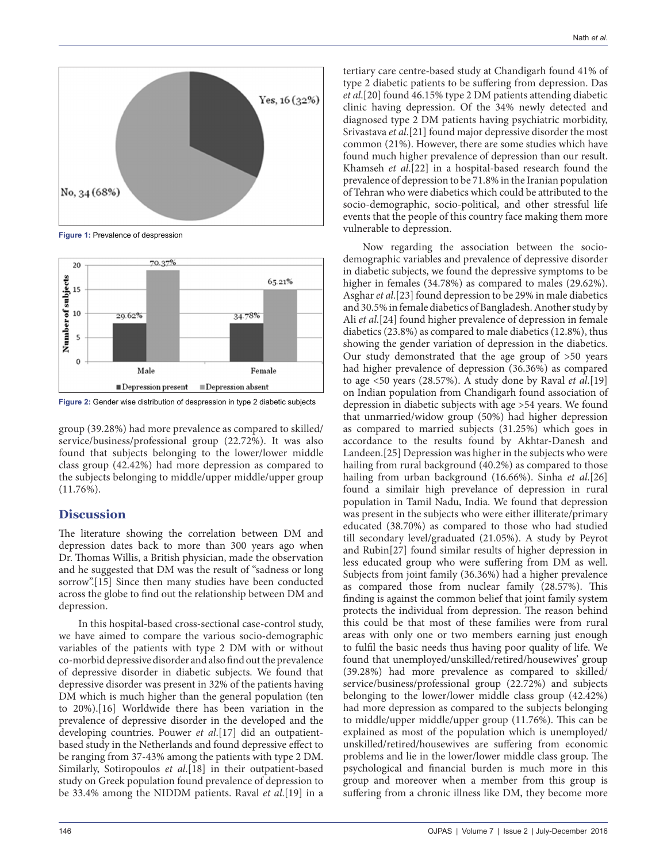

**Figure 1:** Prevalence of despression



**Figure 2:** Gender wise distribution of despression in type 2 diabetic subjects

group (39.28%) had more prevalence as compared to skilled/ service/business/professional group (22.72%). It was also found that subjects belonging to the lower/lower middle class group (42.42%) had more depression as compared to the subjects belonging to middle/upper middle/upper group  $(11.76\%)$ .

#### **Discussion**

The literature showing the correlation between DM and depression dates back to more than 300 years ago when Dr. Thomas Willis, a British physician, made the observation and he suggested that DM was the result of "sadness or long sorrow".[15] Since then many studies have been conducted across the globe to find out the relationship between DM and depression.

In this hospital-based cross-sectional case-control study, we have aimed to compare the various socio-demographic variables of the patients with type 2 DM with or without co-morbid depressive disorder and also find out the prevalence of depressive disorder in diabetic subjects. We found that depressive disorder was present in 32% of the patients having DM which is much higher than the general population (ten to 20%).[16] Worldwide there has been variation in the prevalence of depressive disorder in the developed and the developing countries. Pouwer *et al*.[17] did an outpatientbased study in the Netherlands and found depressive effect to be ranging from 37-43% among the patients with type 2 DM. Similarly, Sotiropoulos *et al*.[18] in their outpatient-based study on Greek population found prevalence of depression to be 33.4% among the NIDDM patients. Raval *et al*.[19] in a tertiary care centre-based study at Chandigarh found 41% of type 2 diabetic patients to be suffering from depression. Das *et al*.[20] found 46.15% type 2 DM patients attending diabetic clinic having depression. Of the 34% newly detected and diagnosed type 2 DM patients having psychiatric morbidity, Srivastava *et al*.[21] found major depressive disorder the most common (21%). However, there are some studies which have found much higher prevalence of depression than our result. Khamseh *et al*.[22] in a hospital-based research found the prevalence of depression to be 71.8% in the Iranian population of Tehran who were diabetics which could be attributed to the socio-demographic, socio-political, and other stressful life events that the people of this country face making them more vulnerable to depression.

Now regarding the association between the sociodemographic variables and prevalence of depressive disorder in diabetic subjects, we found the depressive symptoms to be higher in females (34.78%) as compared to males (29.62%). Asghar *et al*.[23] found depression to be 29% in male diabetics and 30.5% in female diabetics of Bangladesh. Another study by Ali *et al*.[24] found higher prevalence of depression in female diabetics (23.8%) as compared to male diabetics (12.8%), thus showing the gender variation of depression in the diabetics. Our study demonstrated that the age group of >50 years had higher prevalence of depression (36.36%) as compared to age <50 years (28.57%). A study done by Raval *et al*.[19] on Indian population from Chandigarh found association of depression in diabetic subjects with age >54 years. We found that unmarried/widow group (50%) had higher depression as compared to married subjects (31.25%) which goes in accordance to the results found by Akhtar-Danesh and Landeen.[25] Depression was higher in the subjects who were hailing from rural background (40.2%) as compared to those hailing from urban background (16.66%). Sinha *et al*.[26] found a similair high prevelance of depression in rural population in Tamil Nadu, India. We found that depression was present in the subjects who were either illiterate/primary educated (38.70%) as compared to those who had studied till secondary level/graduated (21.05%). A study by Peyrot and Rubin[27] found similar results of higher depression in less educated group who were suffering from DM as well. Subjects from joint family (36.36%) had a higher prevalence as compared those from nuclear family (28.57%). This finding is against the common belief that joint family system protects the individual from depression. The reason behind this could be that most of these families were from rural areas with only one or two members earning just enough to fulfil the basic needs thus having poor quality of life. We found that unemployed/unskilled/retired/housewives' group (39.28%) had more prevalence as compared to skilled/ service/business/professional group (22.72%) and subjects belonging to the lower/lower middle class group (42.42%) had more depression as compared to the subjects belonging to middle/upper middle/upper group (11.76%). This can be explained as most of the population which is unemployed/ unskilled/retired/housewives are suffering from economic problems and lie in the lower/lower middle class group. The psychological and financial burden is much more in this group and moreover when a member from this group is suffering from a chronic illness like DM, they become more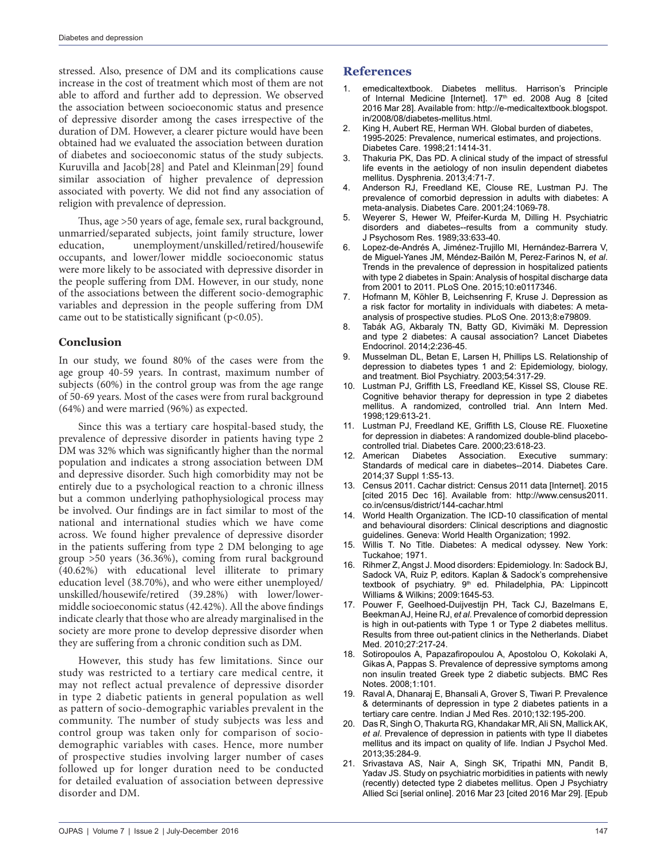stressed. Also, presence of DM and its complications cause increase in the cost of treatment which most of them are not able to afford and further add to depression. We observed the association between socioeconomic status and presence of depressive disorder among the cases irrespective of the duration of DM. However, a clearer picture would have been obtained had we evaluated the association between duration of diabetes and socioeconomic status of the study subjects. Kuruvilla and Jacob[28] and Patel and Kleinman[29] found similar association of higher prevalence of depression associated with poverty. We did not find any association of religion with prevalence of depression.

Thus, age >50 years of age, female sex, rural background, unmarried/separated subjects, joint family structure, lower education, unemployment/unskilled/retired/housewife occupants, and lower/lower middle socioeconomic status were more likely to be associated with depressive disorder in the people suffering from DM. However, in our study, none of the associations between the different socio-demographic variables and depression in the people suffering from DM came out to be statistically significant  $(p<0.05)$ .

#### **Conclusion**

In our study, we found 80% of the cases were from the age group 40-59 years. In contrast, maximum number of subjects (60%) in the control group was from the age range of 50-69 years. Most of the cases were from rural background (64%) and were married (96%) as expected.

Since this was a tertiary care hospital-based study, the prevalence of depressive disorder in patients having type 2 DM was 32% which was significantly higher than the normal population and indicates a strong association between DM and depressive disorder. Such high comorbidity may not be entirely due to a psychological reaction to a chronic illness but a common underlying pathophysiological process may be involved. Our findings are in fact similar to most of the national and international studies which we have come across. We found higher prevalence of depressive disorder in the patients suffering from type 2 DM belonging to age group >50 years (36.36%), coming from rural background (40.62%) with educational level illiterate to primary education level (38.70%), and who were either unemployed/ unskilled/housewife/retired (39.28%) with lower/lowermiddle socioeconomic status (42.42%). All the above findings indicate clearly that those who are already marginalised in the society are more prone to develop depressive disorder when they are suffering from a chronic condition such as DM.

However, this study has few limitations. Since our study was restricted to a tertiary care medical centre, it may not reflect actual prevalence of depressive disorder in type 2 diabetic patients in general population as well as pattern of socio-demographic variables prevalent in the community. The number of study subjects was less and control group was taken only for comparison of sociodemographic variables with cases. Hence, more number of prospective studies involving larger number of cases followed up for longer duration need to be conducted for detailed evaluation of association between depressive disorder and DM.

#### **References**

- 1. emedicaltextbook. Diabetes mellitus. Harrison's Principle of Internal Medicine [Internet]. 17<sup>th</sup> ed. 2008 Aug 8 [cited 2016 Mar 28]. Available from: http://e-medicaltextbook.blogspot. in/2008/08/diabetes-mellitus.html.
- 2. King H, Aubert RE, Herman WH. Global burden of diabetes, 1995-2025: Prevalence, numerical estimates, and projections. Diabetes Care. 1998;21:1414-31.
- Thakuria PK, Das PD. A clinical study of the impact of stressful life events in the aetiology of non insulin dependent diabetes mellitus. Dysphrenia. 2013;4:71-7.
- Anderson RJ, Freedland KE, Clouse RE, Lustman PJ. The prevalence of comorbid depression in adults with diabetes: A meta-analysis. Diabetes Care. 2001;24:1069-78.
- 5. Weyerer S, Hewer W, Pfeifer-Kurda M, Dilling H. Psychiatric disorders and diabetes--results from a community study. J Psychosom Res. 1989;33:633-40.
- Lopez-de-Andrés A, Jiménez-Trujillo MI, Hernández-Barrera V, de Miguel-Yanes JM, Méndez-Bailón M, Perez-Farinos N, *et al*. Trends in the prevalence of depression in hospitalized patients with type 2 diabetes in Spain: Analysis of hospital discharge data from 2001 to 2011. PLoS One. 2015;10:e0117346.
- 7. Hofmann M, Köhler B, Leichsenring F, Kruse J. Depression as a risk factor for mortality in individuals with diabetes: A metaanalysis of prospective studies. PLoS One. 2013;8:e79809.
- 8. Tabák AG, Akbaraly TN, Batty GD, Kivimäki M. Depression and type 2 diabetes: A causal association? Lancet Diabetes Endocrinol. 2014;2:236-45.
- 9. Musselman DL, Betan E, Larsen H, Phillips LS. Relationship of depression to diabetes types 1 and 2: Epidemiology, biology, and treatment. Biol Psychiatry. 2003;54:317-29.
- 10. Lustman PJ, Griffith LS, Freedland KE, Kissel SS, Clouse RE. Cognitive behavior therapy for depression in type 2 diabetes mellitus. A randomized, controlled trial. Ann Intern Med. 1998;129:613-21.
- 11. Lustman PJ, Freedland KE, Griffith LS, Clouse RE. Fluoxetine for depression in diabetes: A randomized double-blind placebocontrolled trial. Diabetes Care. 2000;23:618-23.
- 12. American Diabetes Association. Executive summary: Standards of medical care in diabetes--2014. Diabetes Care. 2014;37 Suppl 1:S5-13.
- 13. Census 2011. Cachar district: Census 2011 data [Internet]. 2015 [cited 2015 Dec 16]. Available from: http://www.census2011. co.in/census/district/144-cachar.html
- 14. World Health Organization. The ICD-10 classification of mental and behavioural disorders: Clinical descriptions and diagnostic guidelines. Geneva: World Health Organization; 1992.
- 15. Willis T. No Title. Diabetes: A medical odyssey. New York: Tuckahoe; 1971.
- 16. Rihmer Z, Angst J. Mood disorders: Epidemiology. In: Sadock BJ, Sadock VA, Ruiz P, editors. Kaplan & Sadock's comprehensive textbook of psychiatry. 9<sup>th</sup> ed. Philadelphia, PA: Lippincott Williams & Wilkins; 2009:1645-53.
- 17. Pouwer F, Geelhoed-Duijvestijn PH, Tack CJ, Bazelmans E, Beekman AJ, Heine RJ, *et al*. Prevalence of comorbid depression is high in out-patients with Type 1 or Type 2 diabetes mellitus. Results from three out-patient clinics in the Netherlands. Diabet Med. 2010;27:217-24.
- 18. Sotiropoulos A, Papazafiropoulou A, Apostolou O, Kokolaki A, Gikas A, Pappas S. Prevalence of depressive symptoms among non insulin treated Greek type 2 diabetic subjects. BMC Res Notes. 2008;1:101.
- 19. Raval A, Dhanaraj E, Bhansali A, Grover S, Tiwari P. Prevalence & determinants of depression in type 2 diabetes patients in a tertiary care centre. Indian J Med Res. 2010;132:195-200.
- 20. Das R, Singh O, Thakurta RG, Khandakar MR, Ali SN, Mallick AK, *et al*. Prevalence of depression in patients with type II diabetes mellitus and its impact on quality of life. Indian J Psychol Med. 2013;35:284-9.
- 21. Srivastava AS, Nair A, Singh SK, Tripathi MN, Pandit B, Yadav JS. Study on psychiatric morbidities in patients with newly (recently) detected type 2 diabetes mellitus. Open J Psychiatry Allied Sci [serial online]. 2016 Mar 23 [cited 2016 Mar 29]. [Epub